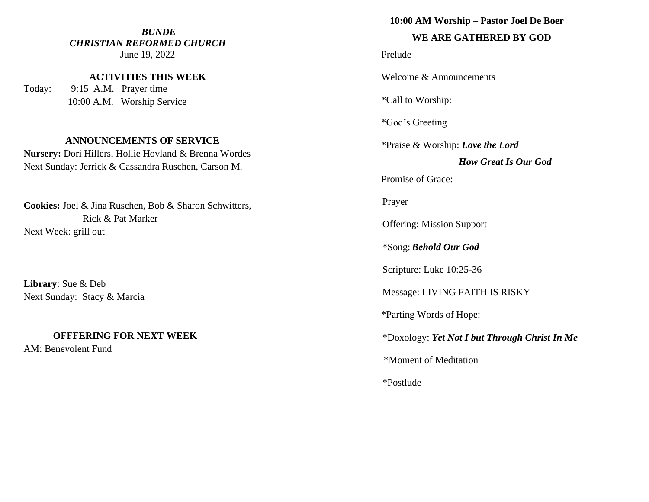### *BUNDE CHRISTIAN REFORMED CHURCH* June 19, 2022

**ACTIVITIES THIS WEEK**

Today: 9:15 A.M. Prayer time 10:00 A.M. Worship Service

### **ANNOUNCEMENTS OF SERVICE**

**Nursery:** Dori Hillers, Hollie Hovland & Brenna Wordes Next Sunday: Jerrick & Cassandra Ruschen, Carson M.

**Cookies:** Joel & Jina Ruschen, Bob & Sharon Schwitters, Rick & Pat Marker Next Week: grill out

**Library**: Sue & Deb Next Sunday: Stacy & Marcia

## **OFFFERING FOR NEXT WEEK**

AM: Benevolent Fund

### **10:00 AM Worship – Pastor Joel De Boer**

# **WE ARE GATHERED BY GOD**

Prelude

Welcome & Announcements

\*Call to Worship:

\*God's Greeting

\*Praise & Worship: *Love the Lord*

# *How Great Is Our God*

Promise of Grace:

Prayer

Offering: Mission Support

\*Song:*Behold Our God*

Scripture: Luke 10:25-36

Message: LIVING FAITH IS RISKY

\*Parting Words of Hope:

\*Doxology: *Yet Not I but Through Christ In Me*

\*Moment of Meditation

\*Postlude